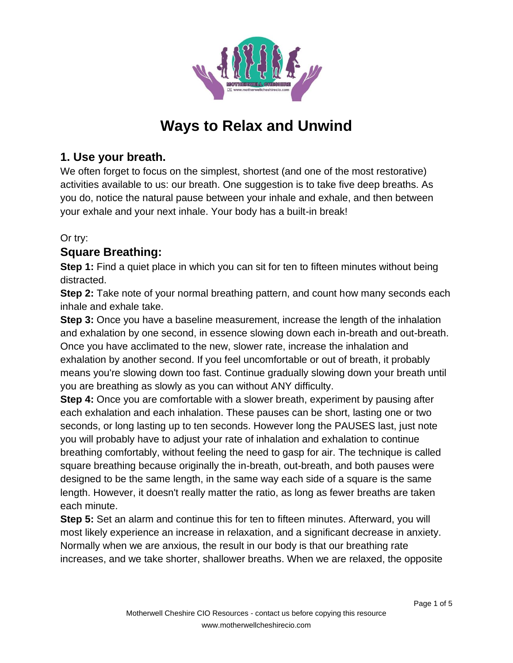

# **Ways to Relax and Unwind**

# **1. Use your breath.**

We often forget to focus on the simplest, shortest (and one of the most restorative) activities available to us: our breath. One suggestion is to take five deep breaths. As you do, notice the natural pause between your inhale and exhale, and then between your exhale and your next inhale. Your body has a built-in break!

## Or try:

# **Square Breathing:**

**Step 1:** Find a quiet place in which you can sit for ten to fifteen minutes without being distracted.

**Step 2:** Take note of your normal breathing pattern, and count how many seconds each inhale and exhale take.

**Step 3:** Once you have a baseline measurement, increase the length of the inhalation and exhalation by one second, in essence slowing down each in-breath and out-breath. Once you have acclimated to the new, slower rate, increase the inhalation and exhalation by another second. If you feel uncomfortable or out of breath, it probably means you're slowing down too fast. Continue gradually slowing down your breath until you are breathing as slowly as you can without ANY difficulty.

**Step 4:** Once you are comfortable with a slower breath, experiment by pausing after each exhalation and each inhalation. These pauses can be short, lasting one or two seconds, or long lasting up to ten seconds. However long the PAUSES last, just note you will probably have to adjust your rate of inhalation and exhalation to continue breathing comfortably, without feeling the need to gasp for air. The technique is called square breathing because originally the in-breath, out-breath, and both pauses were designed to be the same length, in the same way each side of a square is the same length. However, it doesn't really matter the ratio, as long as fewer breaths are taken each minute.

**Step 5:** Set an alarm and continue this for ten to fifteen minutes. Afterward, you will most likely experience an increase in relaxation, and a significant decrease in anxiety. Normally when we are anxious, the result in our body is that our breathing rate increases, and we take shorter, shallower breaths. When we are relaxed, the opposite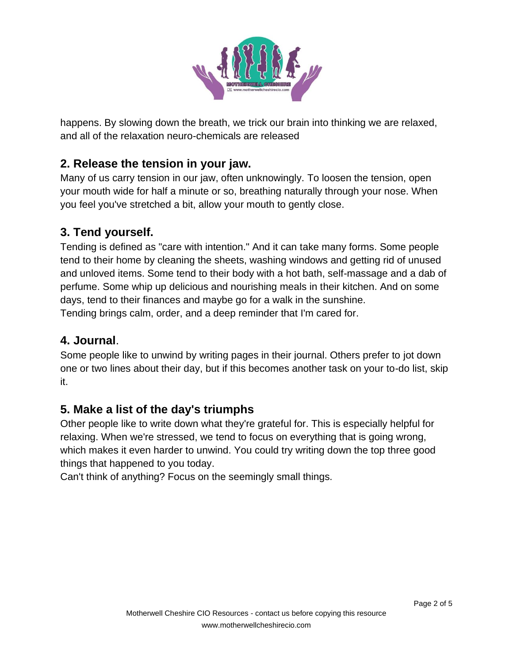

happens. By slowing down the breath, we trick our brain into thinking we are relaxed, and all of the relaxation neuro-chemicals are released

# **2. Release the tension in your jaw.**

Many of us carry tension in our jaw, often unknowingly. To loosen the tension, open your mouth wide for half a minute or so, breathing naturally through your nose. When you feel you've stretched a bit, allow your mouth to gently close.

# **3. Tend yourself.**

Tending is defined as "care with intention." And it can take many forms. Some people tend to their home by cleaning the sheets, washing windows and getting rid of unused and unloved items. Some tend to their body with a hot bath, self-massage and a dab of perfume. Some whip up delicious and nourishing meals in their kitchen. And on some days, tend to their finances and maybe go for a walk in the sunshine. Tending brings calm, order, and a deep reminder that I'm cared for.

#### **4. Journal**.

Some people like to unwind by writing pages in their journal. Others prefer to jot down one or two lines about their day, but if this becomes another task on your to-do list, skip it.

## **5. Make a list of the day's triumphs**

Other people like to write down what they're grateful for. This is especially helpful for relaxing. When we're stressed, we tend to focus on everything that is going wrong, which makes it even harder to unwind. You could try writing down the top three good things that happened to you today.

Can't think of anything? Focus on the seemingly small things.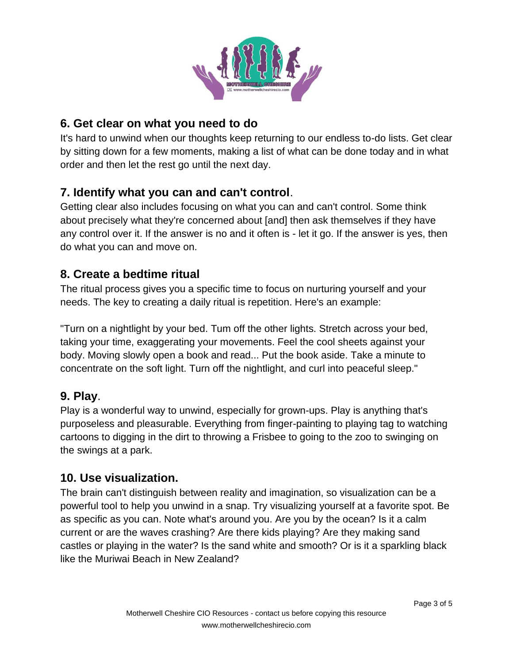

# **6. Get clear on what you need to do**

It's hard to unwind when our thoughts keep returning to our endless to-do lists. Get clear by sitting down for a few moments, making a list of what can be done today and in what order and then let the rest go until the next day.

# **7. Identify what you can and can't control**.

Getting clear also includes focusing on what you can and can't control. Some think about precisely what they're concerned about [and] then ask themselves if they have any control over it. If the answer is no and it often is - let it go. If the answer is yes, then do what you can and move on.

## **8. Create a bedtime ritual**

The ritual process gives you a specific time to focus on nurturing yourself and your needs. The key to creating a daily ritual is repetition. Here's an example:

"Turn on a nightlight by your bed. Tum off the other lights. Stretch across your bed, taking your time, exaggerating your movements. Feel the cool sheets against your body. Moving slowly open a book and read... Put the book aside. Take a minute to concentrate on the soft light. Turn off the nightlight, and curl into peaceful sleep."

## **9. Play**.

Play is a wonderful way to unwind, especially for grown-ups. Play is anything that's purposeless and pleasurable. Everything from finger-painting to playing tag to watching cartoons to digging in the dirt to throwing a Frisbee to going to the zoo to swinging on the swings at a park.

#### **10. Use visualization.**

The brain can't distinguish between reality and imagination, so visualization can be a powerful tool to help you unwind in a snap. Try visualizing yourself at a favorite spot. Be as specific as you can. Note what's around you. Are you by the ocean? Is it a calm current or are the waves crashing? Are there kids playing? Are they making sand castles or playing in the water? Is the sand white and smooth? Or is it a sparkling black like the Muriwai Beach in New Zealand?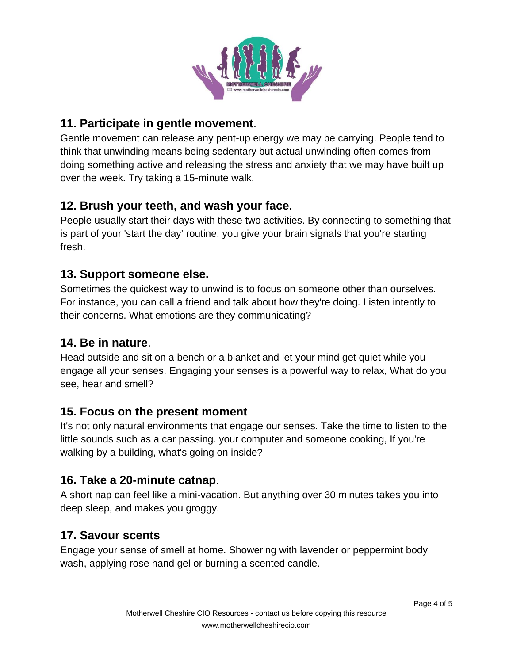

# **11. Participate in gentle movement**.

Gentle movement can release any pent-up energy we may be carrying. People tend to think that unwinding means being sedentary but actual unwinding often comes from doing something active and releasing the stress and anxiety that we may have built up over the week. Try taking a 15-minute walk.

# **12. Brush your teeth, and wash your face.**

People usually start their days with these two activities. By connecting to something that is part of your 'start the day' routine, you give your brain signals that you're starting fresh.

## **13. Support someone else.**

Sometimes the quickest way to unwind is to focus on someone other than ourselves. For instance, you can call a friend and talk about how they're doing. Listen intently to their concerns. What emotions are they communicating?

#### **14. Be in nature**.

Head outside and sit on a bench or a blanket and let your mind get quiet while you engage all your senses. Engaging your senses is a powerful way to relax, What do you see, hear and smell?

## **15. Focus on the present moment**

It's not only natural environments that engage our senses. Take the time to listen to the little sounds such as a car passing. your computer and someone cooking, If you're walking by a building, what's going on inside?

## **16. Take a 20-minute catnap**.

A short nap can feel like a mini-vacation. But anything over 30 minutes takes you into deep sleep, and makes you groggy.

## **17. Savour scents**

Engage your sense of smell at home. Showering with lavender or peppermint body wash, applying rose hand gel or burning a scented candle.